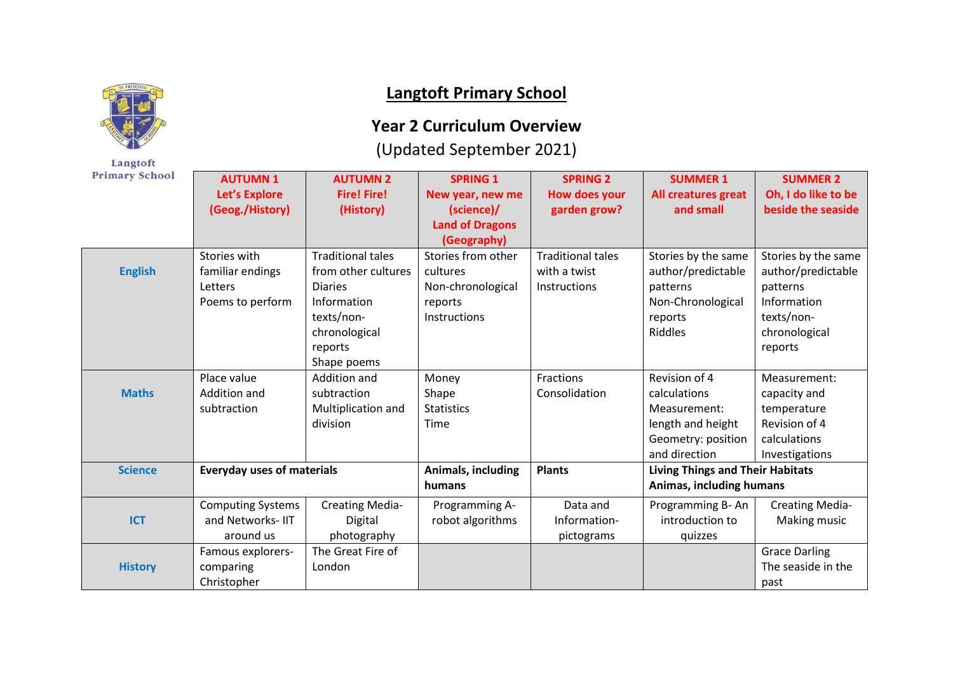

Langtoft

## **Langtoft Primary School**

## **Year 2 Curriculum Overview**

## (Updated September 2021)

| <b>Primary School</b> | <b>AUTUMN1</b><br>Let's Explore<br>(Geog./History)              | <b>AUTUMN 2</b><br><b>Fire! Fire!</b><br>(History)                                                                                        | <b>SPRING 1</b><br>New year, new me<br>(science)/<br><b>Land of Dragons</b><br>(Geography) | <b>SPRING 2</b><br><b>How does your</b><br>garden grow?         | <b>SUMMER 1</b><br>All creatures great<br>and small                                                       | <b>SUMMER 2</b><br>Oh, I do like to be<br>beside the seaside                                                   |
|-----------------------|-----------------------------------------------------------------|-------------------------------------------------------------------------------------------------------------------------------------------|--------------------------------------------------------------------------------------------|-----------------------------------------------------------------|-----------------------------------------------------------------------------------------------------------|----------------------------------------------------------------------------------------------------------------|
| <b>English</b>        | Stories with<br>familiar endings<br>Letters<br>Poems to perform | <b>Traditional tales</b><br>from other cultures<br><b>Diaries</b><br>Information<br>texts/non-<br>chronological<br>reports<br>Shape poems | Stories from other<br>cultures<br>Non-chronological<br>reports<br>Instructions             | <b>Traditional tales</b><br>with a twist<br><b>Instructions</b> | Stories by the same<br>author/predictable<br>patterns<br>Non-Chronological<br>reports<br><b>Riddles</b>   | Stories by the same<br>author/predictable<br>patterns<br>Information<br>texts/non-<br>chronological<br>reports |
| <b>Maths</b>          | Place value<br>Addition and<br>subtraction                      | Addition and<br>subtraction<br>Multiplication and<br>division                                                                             | Money<br>Shape<br><b>Statistics</b><br>Time                                                | Fractions<br>Consolidation                                      | Revision of 4<br>calculations<br>Measurement:<br>length and height<br>Geometry: position<br>and direction | Measurement:<br>capacity and<br>temperature<br>Revision of 4<br>calculations<br>Investigations                 |
| <b>Science</b>        | <b>Everyday uses of materials</b>                               |                                                                                                                                           | Animals, including<br>humans                                                               | <b>Plants</b>                                                   | <b>Living Things and Their Habitats</b><br>Animas, including humans                                       |                                                                                                                |
| <b>ICT</b>            | <b>Computing Systems</b><br>and Networks-IIT<br>around us       | <b>Creating Media-</b><br>Digital<br>photography                                                                                          | Programming A-<br>robot algorithms                                                         | Data and<br>Information-<br>pictograms                          | Programming B-An<br>introduction to<br>quizzes                                                            | <b>Creating Media-</b><br>Making music                                                                         |
| <b>History</b>        | Famous explorers-<br>comparing<br>Christopher                   | The Great Fire of<br>London                                                                                                               |                                                                                            |                                                                 |                                                                                                           | <b>Grace Darling</b><br>The seaside in the<br>past                                                             |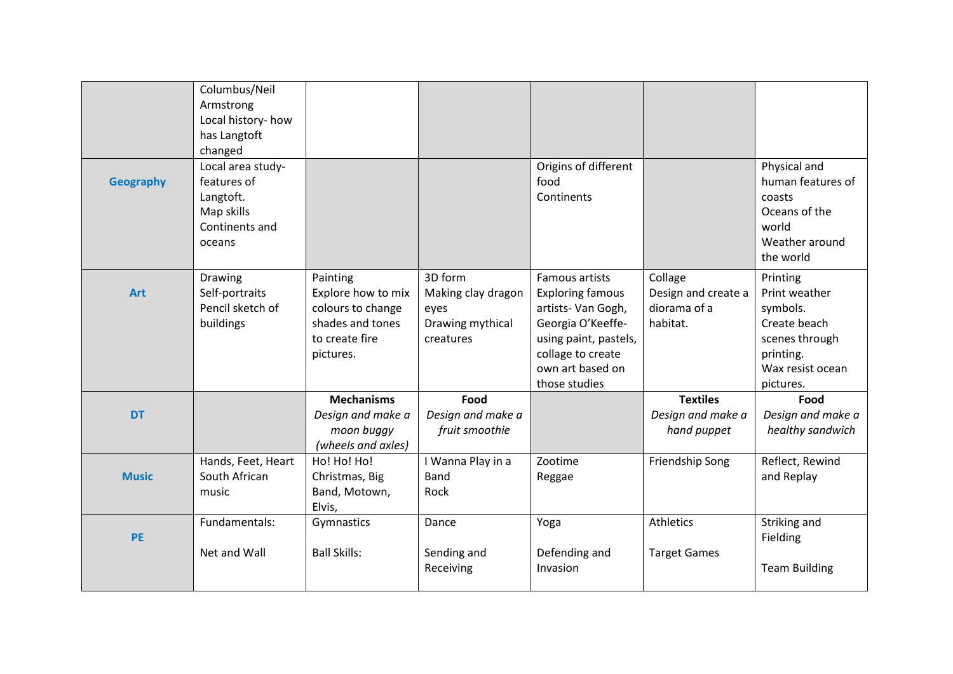|                  | Columbus/Neil<br>Armstrong<br>Local history- how<br>has Langtoft<br>changed             |                                                                                                        |                                                                        |                                                                                                                                                                         |                                                            |                                                                                                                       |
|------------------|-----------------------------------------------------------------------------------------|--------------------------------------------------------------------------------------------------------|------------------------------------------------------------------------|-------------------------------------------------------------------------------------------------------------------------------------------------------------------------|------------------------------------------------------------|-----------------------------------------------------------------------------------------------------------------------|
| <b>Geography</b> | Local area study-<br>features of<br>Langtoft.<br>Map skills<br>Continents and<br>oceans |                                                                                                        |                                                                        | Origins of different<br>food<br>Continents                                                                                                                              |                                                            | Physical and<br>human features of<br>coasts<br>Oceans of the<br>world<br>Weather around<br>the world                  |
| <b>Art</b>       | Drawing<br>Self-portraits<br>Pencil sketch of<br>buildings                              | Painting<br>Explore how to mix<br>colours to change<br>shades and tones<br>to create fire<br>pictures. | 3D form<br>Making clay dragon<br>eyes<br>Drawing mythical<br>creatures | Famous artists<br><b>Exploring famous</b><br>artists- Van Gogh,<br>Georgia O'Keeffe-<br>using paint, pastels,<br>collage to create<br>own art based on<br>those studies | Collage<br>Design and create a<br>diorama of a<br>habitat. | Printing<br>Print weather<br>symbols.<br>Create beach<br>scenes through<br>printing.<br>Wax resist ocean<br>pictures. |
| <b>DT</b>        |                                                                                         | <b>Mechanisms</b><br>Design and make a<br>moon buggy<br>(wheels and axles)                             | Food<br>Design and make a<br>fruit smoothie                            |                                                                                                                                                                         | <b>Textiles</b><br>Design and make a<br>hand puppet        | Food<br>Design and make a<br>healthy sandwich                                                                         |
| <b>Music</b>     | Hands, Feet, Heart<br>South African<br>music                                            | Ho! Ho! Ho!<br>Christmas, Big<br>Band, Motown,<br>Elvis,                                               | I Wanna Play in a<br><b>Band</b><br>Rock                               | Zootime<br>Reggae                                                                                                                                                       | Friendship Song                                            | Reflect, Rewind<br>and Replay                                                                                         |
| <b>PE</b>        | Fundamentals:<br>Net and Wall                                                           | Gymnastics<br><b>Ball Skills:</b>                                                                      | Dance<br>Sending and<br>Receiving                                      | Yoga<br>Defending and<br>Invasion                                                                                                                                       | Athletics<br><b>Target Games</b>                           | Striking and<br>Fielding<br><b>Team Building</b>                                                                      |